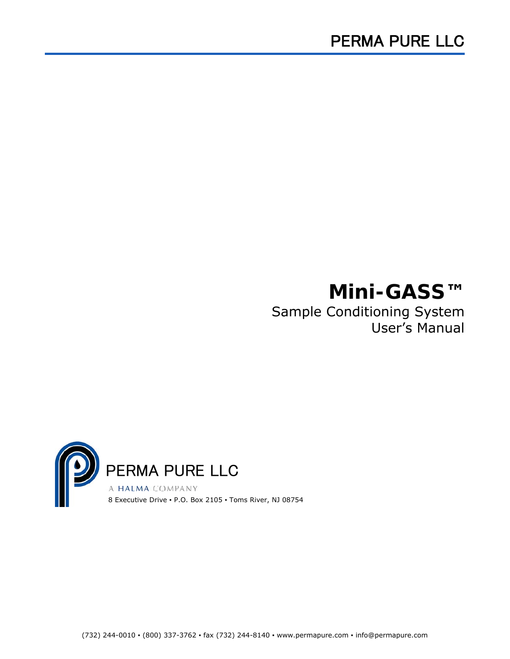## **Mini-GASS™**

Sample Conditioning System User's Manual

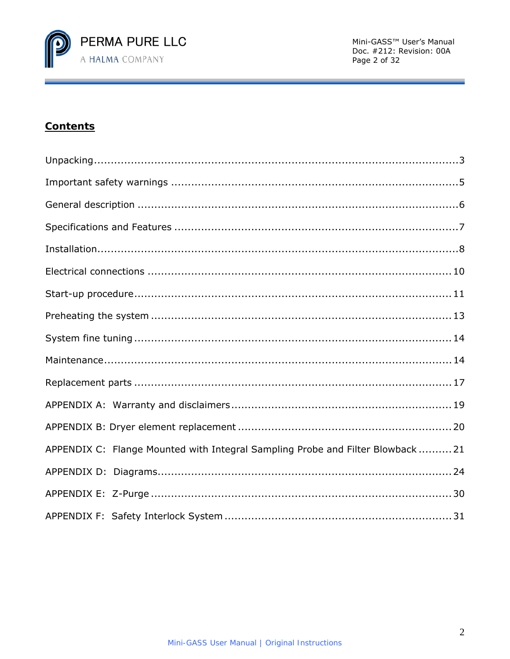

## **Contents**

| APPENDIX C: Flange Mounted with Integral Sampling Probe and Filter Blowback  21 |
|---------------------------------------------------------------------------------|
|                                                                                 |
|                                                                                 |
|                                                                                 |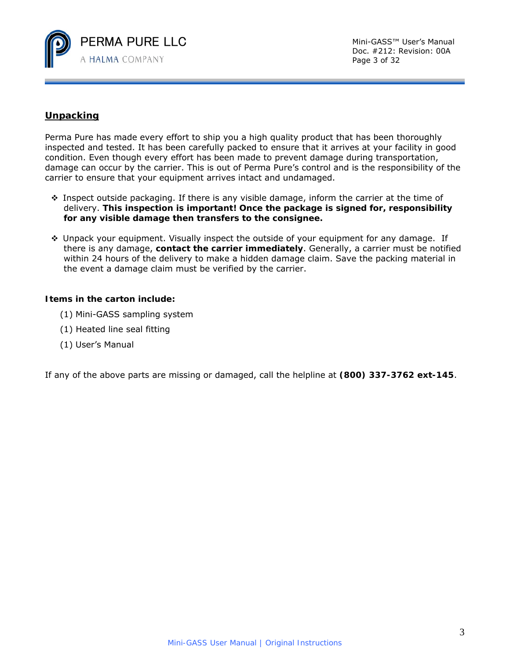

## **Unpacking**

Perma Pure has made every effort to ship you a high quality product that has been thoroughly inspected and tested. It has been carefully packed to ensure that it arrives at your facility in good condition. Even though every effort has been made to prevent damage during transportation, damage can occur by the carrier. This is out of Perma Pure's control and is the responsibility of the carrier to ensure that your equipment arrives intact and undamaged.

- $\cdot$  Inspect outside packaging. If there is any visible damage, inform the carrier at the time of delivery. *This inspection is important! Once the package is signed for, responsibility for any visible damage then transfers to the consignee.*
- Unpack your equipment. Visually inspect the outside of your equipment for any damage. If there is any damage, *contact the carrier immediately*. Generally, a carrier must be notified within 24 hours of the delivery to make a hidden damage claim. Save the packing material in the event a damage claim must be verified by the carrier.

#### **Items in the carton include:**

- (1) Mini-GASS sampling system
- (1) Heated line seal fitting
- (1) User's Manual

If any of the above parts are missing or damaged, call the helpline at **(800) 337-3762 ext-145**.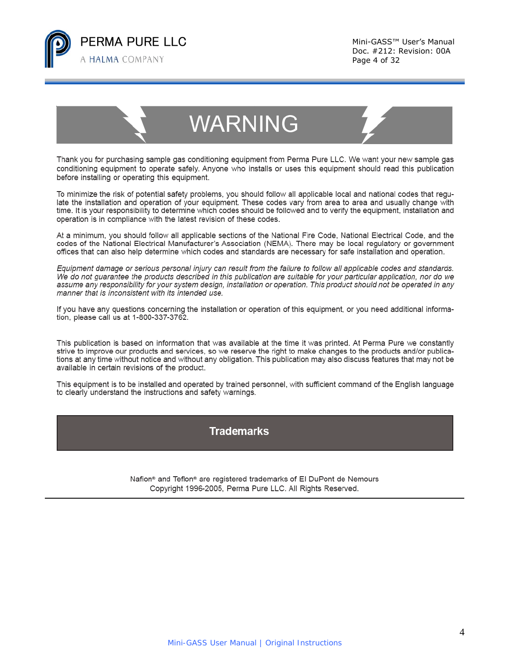

# **WARNING**

Thank you for purchasing sample gas conditioning equipment from Perma Pure LLC. We want your new sample gas conditioning equipment to operate safely. Anyone who installs or uses this equipment should read this publication before installing or operating this equipment.

To minimize the risk of potential safety problems, you should follow all applicable local and national codes that regulate the installation and operation of your equipment. These codes vary from area to area and usually change with time. It is your responsibility to determine which codes should be followed and to verify the equipment, installation and operation is in compliance with the latest revision of these codes.

At a minimum, you should follow all applicable sections of the National Fire Code, National Electrical Code, and the codes of the National Electrical Manufacturer's Association (NEMA). There may be local regulatory or government offices that can also help determine which codes and standards are necessary for safe installation and operation.

Equipment damage or serious personal injury can result from the failure to follow all applicable codes and standards. We do not quarantee the products described in this publication are suitable for your particular application, nor do we assume any responsibility for your system design, installation or operation. This product should not be operated in any manner that is inconsistent with its intended use.

If you have any questions concerning the installation or operation of this equipment, or you need additional information, please call us at 1-800-337-3762.

This publication is based on information that was available at the time it was printed. At Perma Pure we constantly strive to improve our products and services, so we reserve the right to make changes to the products and/or publications at any time without notice and without any obligation. This publication may also discuss features that may not be available in certain revisions of the product.

This equipment is to be installed and operated by trained personnel, with sufficient command of the English language to clearly understand the instructions and safety warnings.

## **Trademarks**

Nafion<sup>®</sup> and Teflon<sup>®</sup> are registered trademarks of El DuPont de Nemours Copyright 1996-2005, Perma Pure LLC. All Rights Reserved.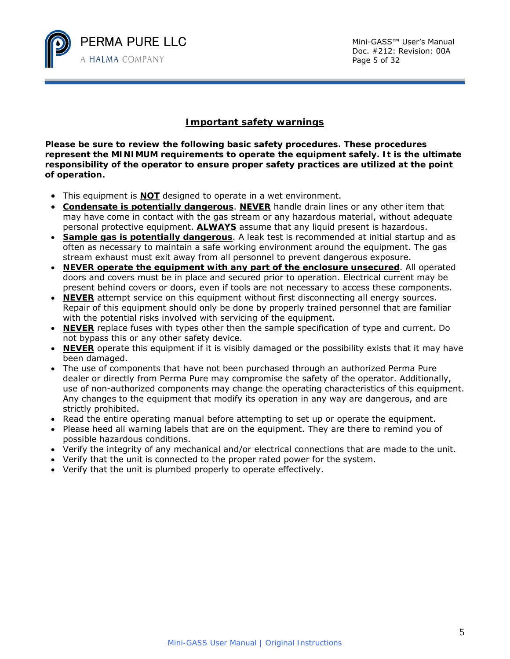

## **Important safety warnings**

**Please be sure to review the following basic safety procedures. These procedures represent the MINIMUM requirements to operate the equipment safely. It is the ultimate responsibility of the operator to ensure proper safety practices are utilized at the point of operation.** 

- This equipment is **NOT** designed to operate in a wet environment.
- **Condensate is potentially dangerous**. **NEVER** handle drain lines or any other item that may have come in contact with the gas stream or any hazardous material, without adequate personal protective equipment. **ALWAYS** assume that any liquid present is hazardous.
- **Sample gas is potentially dangerous**. A leak test is recommended at initial startup and as often as necessary to maintain a safe working environment around the equipment. The gas stream exhaust must exit away from all personnel to prevent dangerous exposure.
- **NEVER operate the equipment with any part of the enclosure unsecured**. All operated doors and covers must be in place and secured prior to operation. Electrical current may be present behind covers or doors, even if tools are not necessary to access these components.
- **NEVER** attempt service on this equipment without first disconnecting all energy sources. Repair of this equipment should only be done by properly trained personnel that are familiar with the potential risks involved with servicing of the equipment.
- **NEVER** replace fuses with types other then the sample specification of type and current. Do not bypass this or any other safety device.
- **NEVER** operate this equipment if it is visibly damaged or the possibility exists that it may have been damaged.
- The use of components that have not been purchased through an authorized Perma Pure dealer or directly from Perma Pure may compromise the safety of the operator. Additionally, use of non-authorized components may change the operating characteristics of this equipment. Any changes to the equipment that modify its operation in any way are dangerous, and are strictly prohibited.
- Read the entire operating manual before attempting to set up or operate the equipment.
- Please heed all warning labels that are on the equipment. They are there to remind you of possible hazardous conditions.
- Verify the integrity of any mechanical and/or electrical connections that are made to the unit.
- Verify that the unit is connected to the proper rated power for the system.
- Verify that the unit is plumbed properly to operate effectively.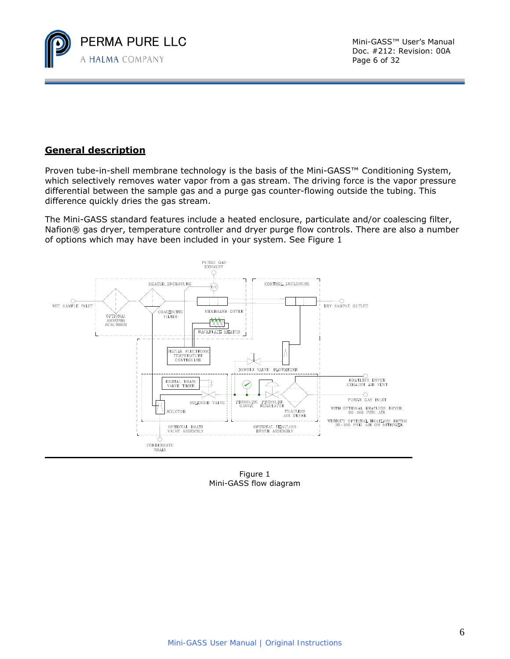

## **General description**

Proven tube-in-shell membrane technology is the basis of the Mini-GASS™ Conditioning System, which selectively removes water vapor from a gas stream. The driving force is the vapor pressure differential between the sample gas and a purge gas counter-flowing outside the tubing. This difference quickly dries the gas stream.

The Mini-GASS standard features include a heated enclosure, particulate and/or coalescing filter, Nafion® gas dryer, temperature controller and dryer purge flow controls. There are also a number of options which may have been included in your system. See Figure 1



Figure 1 Mini-GASS flow diagram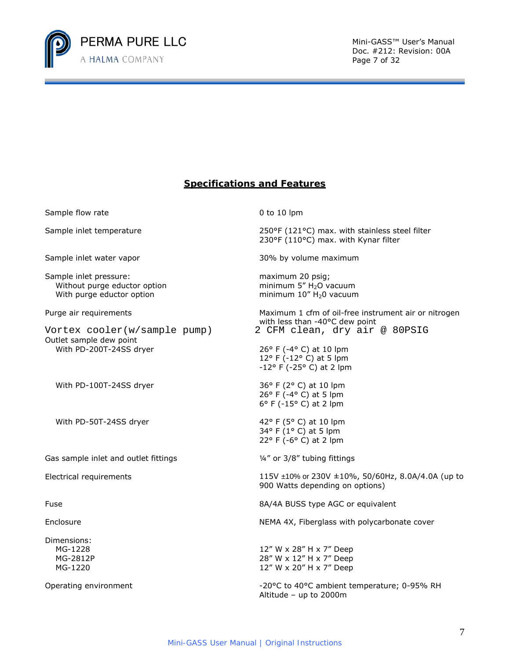

Doc. #212: Revision: 00A Page 7 of 32

## **Specifications and Features**

Sample flow rate 0 to 10 lpm Sample inlet temperature 250°F (121°C) max. with stainless steel filter 230°F (110°C) max. with Kynar filter Sample inlet water vapor states and the settlement of the 30% by volume maximum Sample inlet pressure: Without purge eductor option With purge eductor option maximum 20 psig; minimum  $5''$  H<sub>2</sub>O vacuum minimum  $10''$  H<sub>2</sub>0 vacuum Purge air requirements **Maximum 1 cfm of oil-free instrument air or nitrogen** Maximum 1 cfm of oil-free instrument air or nitrogen with less than -40°C dew point Outlet sample dew point With PD-200T-24SS dryer 26° F (-4° C) at 10 lpm 12° F (-12° C) at 5 lpm -12° F (-25° C) at 2 lpm With PD-100T-24SS dryer  $36^{\circ}$  F (2° C) at 10 lpm 26° F (-4° C) at 5 lpm 6° F (-15° C) at 2 lpm With PD-50T-24SS dryer  $42^{\circ}$  F (5° C) at 10 lpm 34° F (1° C) at 5 lpm 22° F (-6° C) at 2 lpm Gas sample inlet and outlet fittings  $\frac{1}{4}$  or 3/8" tubing fittings Electrical requirements  $115V \pm 10\%$  or  $230V \pm 10\%$ ,  $50/60$ Hz,  $8.0A/4.0A$  (up to 900 Watts depending on options) Fuse 8A/4A BUSS type AGC or equivalent Enclosure **NEMA 4X, Fiberglass with polycarbonate cover** Dimensions: MG-1228 12" W x 28" H x 7" Deep MG-2812P 28" W x 12" H x 7" Deep MG-1220 12" W x 20" H x 7" Deep Operating environment Theorem 20°C to 40°C ambient temperature; 0-95% RH Altitude – up to 2000m Vortex cooler(w/sample pump) 2 CFM clean, dry air @ 80PSIG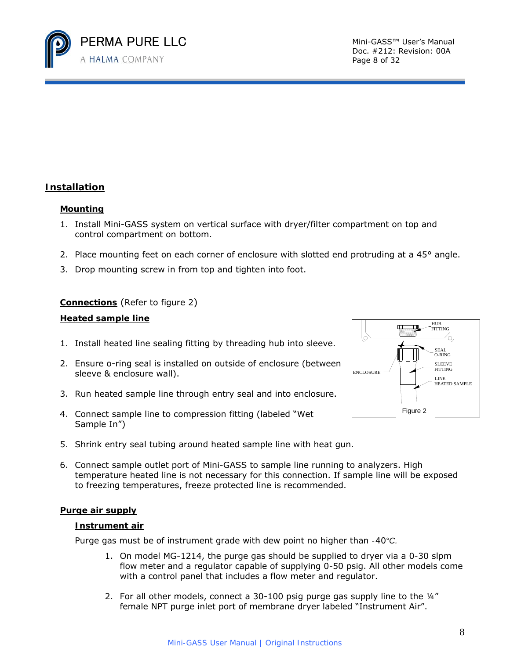

Doc. #212: Revision: 00A Page 8 of 32

## **Installation**

#### **Mounting**

- 1. Install Mini-GASS system on vertical surface with dryer/filter compartment on top and control compartment on bottom.
- 2. Place mounting feet on each corner of enclosure with slotted end protruding at a 45° angle.
- 3. Drop mounting screw in from top and tighten into foot.

#### **Connections** (Refer to figure 2)

#### **Heated sample line**

- 1. Install heated line sealing fitting by threading hub into sleeve.
- 2. Ensure o-ring seal is installed on outside of enclosure (between sleeve & enclosure wall).
- 3. Run heated sample line through entry seal and into enclosure.
- 4. Connect sample line to compression fitting (labeled "Wet Sample In")
- 5. Shrink entry seal tubing around heated sample line with heat gun.
- 6. Connect sample outlet port of Mini-GASS to sample line running to analyzers. High temperature heated line is not necessary for this connection. If sample line will be exposed to freezing temperatures, freeze protected line is recommended.

#### **Purge air supply**

#### **Instrument air**

*Purge gas must be of instrument grade with dew point no higher than -40°C.* 

- 1. On model MG-1214, the purge gas should be supplied to dryer via a 0-30 slpm flow meter and a regulator capable of supplying 0-50 psig. All other models come with a control panel that includes a flow meter and regulator.
- 2. For all other models, connect a  $30-100$  psig purge gas supply line to the  $\frac{1}{4}$ " female NPT purge inlet port of membrane dryer labeled "Instrument Air".

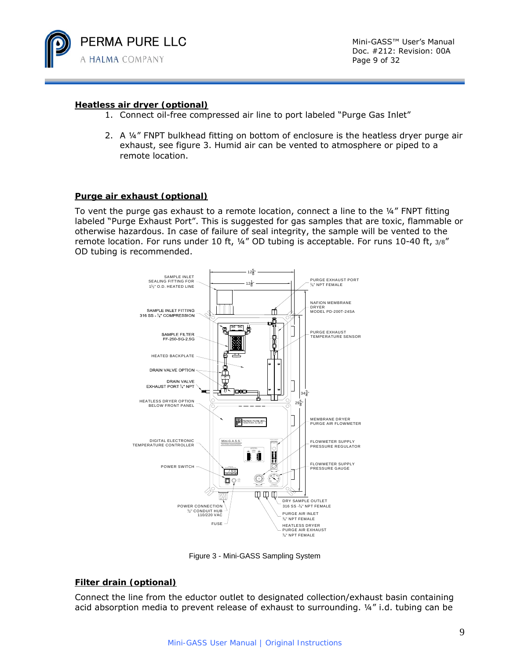

Doc. #212: Revision: 00A Page 9 of 32

#### **Heatless air dryer (optional)**

- 1. Connect oil-free compressed air line to port labeled "Purge Gas Inlet"
- 2. A ¼" FNPT bulkhead fitting on bottom of enclosure is the heatless dryer purge air exhaust, see figure 3. Humid air can be vented to atmosphere or piped to a remote location.

#### **Purge air exhaust (optional)**

To vent the purge gas exhaust to a remote location, connect a line to the  $\frac{1}{4}$ " FNPT fitting labeled "Purge Exhaust Port". This is suggested for gas samples that are toxic, flammable or otherwise hazardous. In case of failure of seal integrity, the sample will be vented to the remote location. For runs under 10 ft, 1/4" OD tubing is acceptable. For runs 10-40 ft, 3/8" OD tubing is recommended.



Figure 3 - Mini-GASS Sampling System

#### **Filter drain (optional)**

Connect the line from the eductor outlet to designated collection/exhaust basin containing acid absorption media to prevent release of exhaust to surrounding.  $\frac{1}{4}$  i.d. tubing can be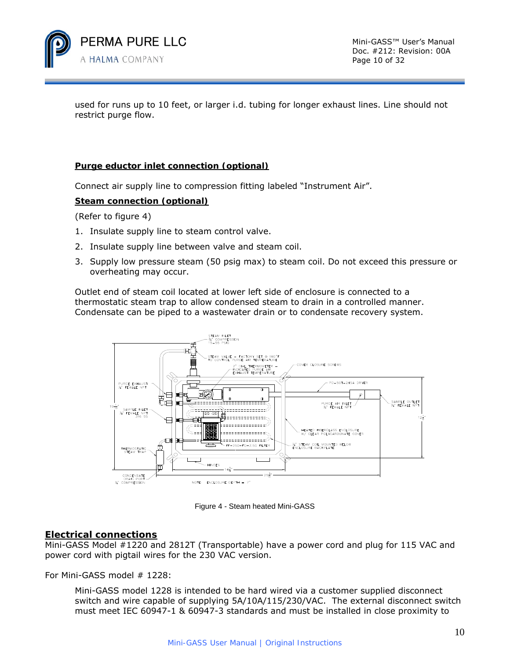

used for runs up to 10 feet, or larger i.d. tubing for longer exhaust lines. Line should not restrict purge flow.

#### **Purge eductor inlet connection (optional)**

Connect air supply line to compression fitting labeled "Instrument Air".

#### **Steam connection (optional)**

(Refer to figure 4)

- 1. Insulate supply line to steam control valve.
- 2. Insulate supply line between valve and steam coil.
- 3. Supply low pressure steam (50 psig max) to steam coil. Do not exceed this pressure or overheating may occur.

Outlet end of steam coil located at lower left side of enclosure is connected to a thermostatic steam trap to allow condensed steam to drain in a controlled manner. Condensate can be piped to a wastewater drain or to condensate recovery system.



Figure 4 - Steam heated Mini-GASS

## **Electrical connections**

Mini-GASS Model #1220 and 2812T (Transportable) have a power cord and plug for 115 VAC and power cord with pigtail wires for the 230 VAC version.

For Mini-GASS model # 1228:

Mini-GASS model 1228 is intended to be hard wired via a customer supplied disconnect switch and wire capable of supplying 5A/10A/115/230/VAC. The external disconnect switch must meet IEC 60947-1 & 60947-3 standards and must be installed in close proximity to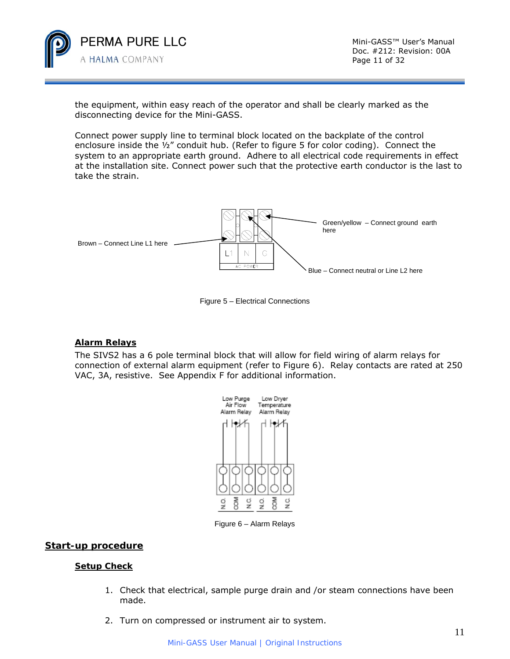

Doc. #212: Revision: 00A Page 11 of 32

the equipment, within easy reach of the operator and shall be clearly marked as the disconnecting device for the Mini-GASS.

Connect power supply line to terminal block located on the backplate of the control enclosure inside the  $\frac{1}{2}$ " conduit hub. (Refer to figure 5 for color coding). Connect the system to an appropriate earth ground. Adhere to all electrical code requirements in effect at the installation site. Connect power such that the protective earth conductor is the last to take the strain.



Figure 5 – Electrical Connections

#### **Alarm Relays**

 The SIVS2 has a 6 pole terminal block that will allow for field wiring of alarm relays for connection of external alarm equipment (refer to Figure 6). Relay contacts are rated at 250 VAC, 3A, resistive. See Appendix F for additional information.



Figure 6 – Alarm Relays

#### **Start-up procedure**

#### **Setup Check**

- 1. Check that electrical, sample purge drain and /or steam connections have been made.
- 2. Turn on compressed or instrument air to system.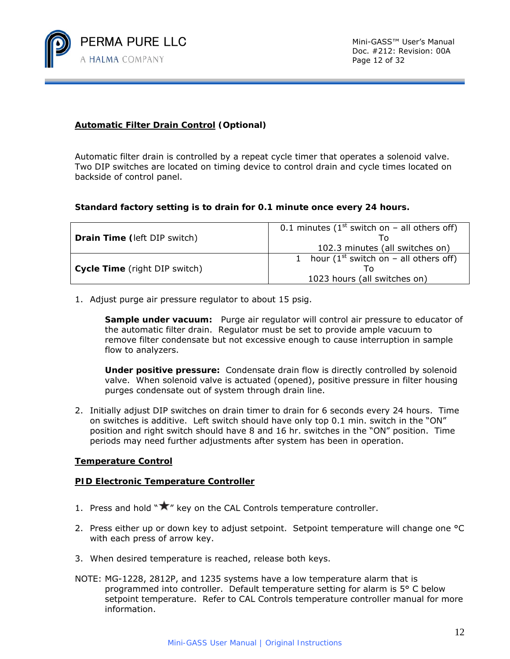

#### **Automatic Filter Drain Control (Optional)**

Automatic filter drain is controlled by a repeat cycle timer that operates a solenoid valve. Two DIP switches are located on timing device to control drain and cycle times located on backside of control panel.

#### **Standard factory setting is to drain for 0.1 minute once every 24 hours.**

| Drain Time (left DIP switch)  | 0.1 minutes ( $1st$ switch on – all others off) |  |
|-------------------------------|-------------------------------------------------|--|
|                               | 102.3 minutes (all switches on)                 |  |
|                               | 1 hour ( $1^{st}$ switch on – all others off)   |  |
| Cycle Time (right DIP switch) |                                                 |  |
|                               | 1023 hours (all switches on)                    |  |

1. Adjust purge air pressure regulator to about 15 psig.

 **Sample under vacuum:** Purge air regulator will control air pressure to educator of the automatic filter drain. Regulator must be set to provide ample vacuum to remove filter condensate but not excessive enough to cause interruption in sample flow to analyzers.

**Under positive pressure:** Condensate drain flow is directly controlled by solenoid valve. When solenoid valve is actuated (opened), positive pressure in filter housing purges condensate out of system through drain line.

2. Initially adjust DIP switches on drain timer to drain for 6 seconds every 24 hours. Time on switches is additive. Left switch should have only top 0.1 min. switch in the "ON" position and right switch should have 8 and 16 hr. switches in the "ON" position. Time periods may need further adjustments after system has been in operation.

#### **Temperature Control**

#### **PID Electronic Temperature Controller**

- 1. Press and hold " $\bigstar$ " key on the CAL Controls temperature controller.
- 2. Press either up or down key to adjust setpoint. Setpoint temperature will change one °C with each press of arrow key.
- 3. When desired temperature is reached, release both keys.
- NOTE: MG-1228, 2812P, and 1235 systems have a low temperature alarm that is programmed into controller. Default temperature setting for alarm is 5° C below setpoint temperature. Refer to CAL Controls temperature controller manual for more information.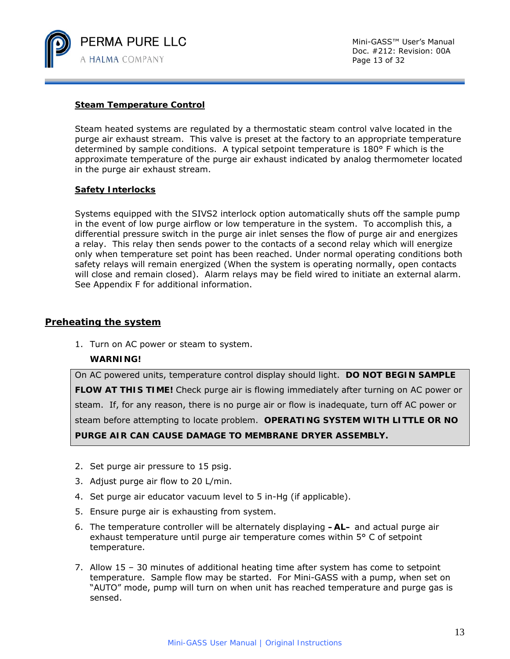

#### **Steam Temperature Control**

Steam heated systems are regulated by a thermostatic steam control valve located in the purge air exhaust stream. This valve is preset at the factory to an appropriate temperature determined by sample conditions. A typical setpoint temperature is 180° F which is the approximate temperature of the purge air exhaust indicated by analog thermometer located in the purge air exhaust stream.

#### **Safety Interlocks**

Systems equipped with the SIVS2 interlock option automatically shuts off the sample pump in the event of low purge airflow or low temperature in the system. To accomplish this, a differential pressure switch in the purge air inlet senses the flow of purge air and energizes a relay. This relay then sends power to the contacts of a second relay which will energize only when temperature set point has been reached. Under normal operating conditions both safety relays will remain energized (When the system is operating normally, open contacts will close and remain closed). Alarm relays may be field wired to initiate an external alarm. See Appendix F for additional information.

#### **Preheating the system**

1. Turn on AC power or steam to system.

#### **WARNING!**

On AC powered units, temperature control display should light. *DO NOT BEGIN SAMPLE FLOW AT THIS TIME!* Check purge air is flowing immediately after turning on AC power or steam. If, for any reason, there is no purge air or flow is inadequate, turn off AC power or steam before attempting to locate problem. *OPERATING SYSTEM WITH LITTLE OR NO PURGE AIR CAN CAUSE DAMAGE TO MEMBRANE DRYER ASSEMBLY.*

- 2. Set purge air pressure to 15 psig.
- 3. Adjust purge air flow to 20 L/min.
- 4. Set purge air educator vacuum level to 5 in-Hg (if applicable).
- 5. Ensure purge air is exhausting from system.
- 6. The temperature controller will be alternately displaying **–AL–** and actual purge air exhaust temperature until purge air temperature comes within 5° C of setpoint temperature.
- 7. Allow 15 30 minutes of additional heating time after system has come to setpoint temperature. Sample flow may be started. For Mini-GASS with a pump, when set on "AUTO" mode, pump will turn on when unit has reached temperature and purge gas is sensed.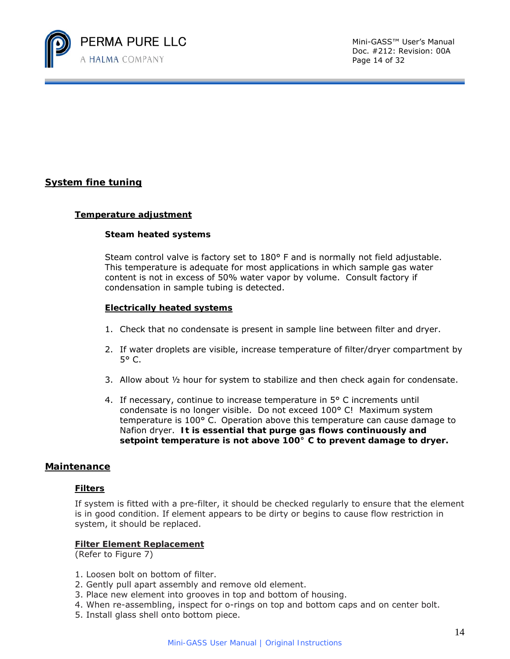

Doc. #212: Revision: 00A Page 14 of 32

## **System fine tuning**

#### **Temperature adjustment**

#### **Steam heated systems**

Steam control valve is factory set to 180° F and is normally not field adjustable. This temperature is adequate for most applications in which sample gas water content is not in excess of 50% water vapor by volume. Consult factory if condensation in sample tubing is detected.

#### **Electrically heated systems**

- 1. Check that no condensate is present in sample line between filter and dryer.
- 2. If water droplets are visible, increase temperature of filter/dryer compartment by 5° C.
- 3. Allow about ½ hour for system to stabilize and then check again for condensate.
- 4. If necessary, continue to increase temperature in  $5^{\circ}$  C increments until condensate is no longer visible. Do not exceed 100° C! Maximum system temperature is 100° C. Operation above this temperature can cause damage to Nafion dryer. *It is essential that purge gas flows continuously and setpoint temperature is not above 100° C to prevent damage to dryer.*

#### **Maintenance**

#### **Filters**

If system is fitted with a pre-filter, it should be checked regularly to ensure that the element is in good condition. If element appears to be dirty or begins to cause flow restriction in system, it should be replaced.

#### **Filter Element Replacement**

(Refer to Figure 7)

- 1. Loosen bolt on bottom of filter.
- 2. Gently pull apart assembly and remove old element.
- 3. Place new element into grooves in top and bottom of housing.
- 4. When re-assembling, inspect for o-rings on top and bottom caps and on center bolt.
- 5. Install glass shell onto bottom piece.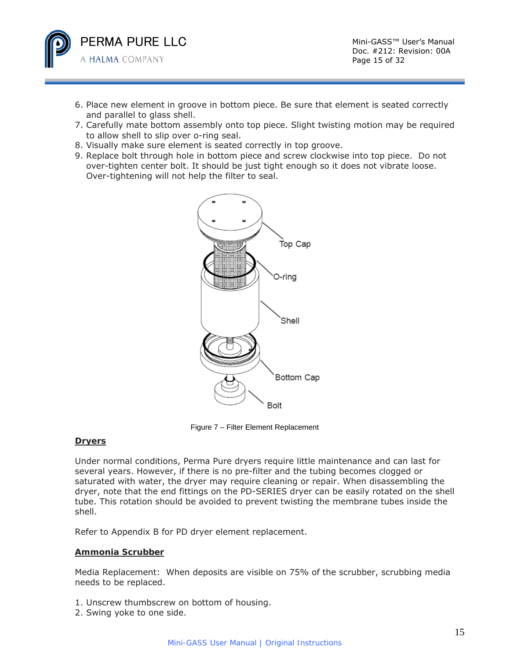

- 6. Place new element in groove in bottom piece. Be sure that element is seated correctly and parallel to glass shell.
- 7. Carefully mate bottom assembly onto top piece. Slight twisting motion may be required to allow shell to slip over o-ring seal.
- 8. Visually make sure element is seated correctly in top groove.
- 9. Replace bolt through hole in bottom piece and screw clockwise into top piece. Do not over-tighten center bolt. It should be just tight enough so it does not vibrate loose. Over-tightening will not help the filter to seal.



Figure 7 – Filter Element Replacement

#### **Dryers**

Under normal conditions, Perma Pure dryers require little maintenance and can last for several years. However, if there is no pre-filter and the tubing becomes clogged or saturated with water, the dryer may require cleaning or repair. When disassembling the dryer, note that the end fittings on the PD-SERIES dryer can be easily rotated on the shell tube. This rotation should be avoided to prevent twisting the membrane tubes inside the shell.

Refer to Appendix B for PD dryer element replacement.

#### **Ammonia Scrubber**

Media Replacement: When deposits are visible on 75% of the scrubber, scrubbing media needs to be replaced.

- 1. Unscrew thumbscrew on bottom of housing.
- 2. Swing yoke to one side.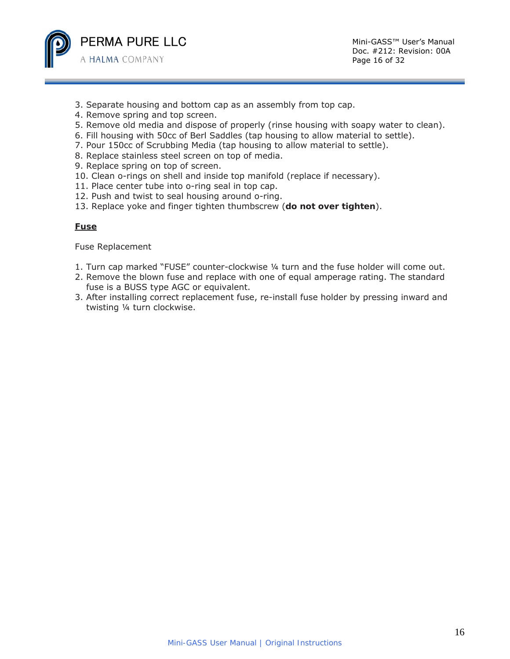

- 3. Separate housing and bottom cap as an assembly from top cap.
- 4. Remove spring and top screen.
- 5. Remove old media and dispose of properly (rinse housing with soapy water to clean).
- 6. Fill housing with 50cc of Berl Saddles (tap housing to allow material to settle).
- 7. Pour 150cc of Scrubbing Media (tap housing to allow material to settle).
- 8. Replace stainless steel screen on top of media.
- 9. Replace spring on top of screen.
- 10. Clean o-rings on shell and inside top manifold (replace if necessary).
- 11. Place center tube into o-ring seal in top cap.
- 12. Push and twist to seal housing around o-ring.
- 13. Replace yoke and finger tighten thumbscrew (**do not over tighten**).

#### **Fuse**

Fuse Replacement

- 1. Turn cap marked "FUSE" counter-clockwise ¼ turn and the fuse holder will come out.
- 2. Remove the blown fuse and replace with one of equal amperage rating. The standard fuse is a BUSS type AGC or equivalent.
- 3. After installing correct replacement fuse, re-install fuse holder by pressing inward and twisting ¼ turn clockwise.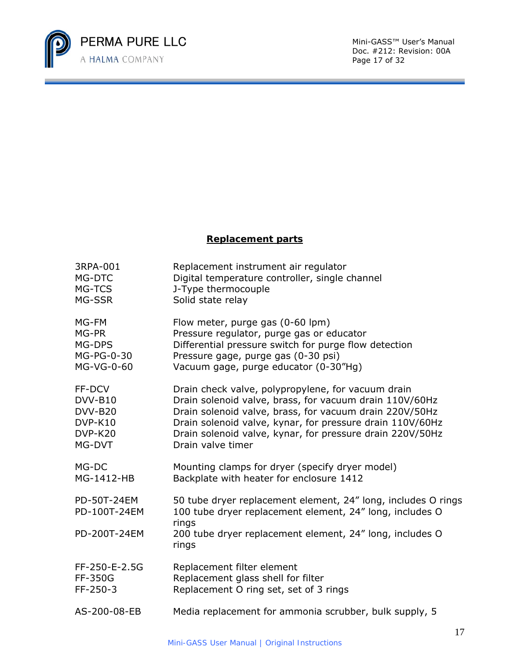

Doc. #212: Revision: 00A Page 17 of 32

## **Replacement parts**

| 3RPA-001                    | Replacement instrument air regulator                                                                                               |
|-----------------------------|------------------------------------------------------------------------------------------------------------------------------------|
| MG-DTC                      | Digital temperature controller, single channel                                                                                     |
| MG-TCS                      | J-Type thermocouple                                                                                                                |
| MG-SSR                      | Solid state relay                                                                                                                  |
| MG-FM                       | Flow meter, purge gas (0-60 lpm)                                                                                                   |
| MG-PR                       | Pressure regulator, purge gas or educator                                                                                          |
| MG-DPS                      | Differential pressure switch for purge flow detection                                                                              |
| MG-PG-0-30                  | Pressure gage, purge gas (0-30 psi)                                                                                                |
| MG-VG-0-60                  | Vacuum gage, purge educator (0-30"Hg)                                                                                              |
| FF-DCV                      | Drain check valve, polypropylene, for vacuum drain                                                                                 |
| DVV-B10                     | Drain solenoid valve, brass, for vacuum drain 110V/60Hz                                                                            |
| DVV-B20                     | Drain solenoid valve, brass, for vacuum drain 220V/50Hz                                                                            |
| DVP-K10                     | Drain solenoid valve, kynar, for pressure drain 110V/60Hz                                                                          |
| DVP-K20                     | Drain solenoid valve, kynar, for pressure drain 220V/50Hz                                                                          |
| MG-DVT                      | Drain valve timer                                                                                                                  |
| MG-DC                       | Mounting clamps for dryer (specify dryer model)                                                                                    |
| MG-1412-HB                  | Backplate with heater for enclosure 1412                                                                                           |
| PD-50T-24EM<br>PD-100T-24EM | 50 tube dryer replacement element, 24" long, includes O rings<br>100 tube dryer replacement element, 24" long, includes O<br>rings |
| PD-200T-24EM                | 200 tube dryer replacement element, 24" long, includes O<br>rings                                                                  |
| FF-250-E-2.5G               | Replacement filter element                                                                                                         |
| FF-350G                     | Replacement glass shell for filter                                                                                                 |
| FF-250-3                    | Replacement O ring set, set of 3 rings                                                                                             |
| AS-200-08-EB                | Media replacement for ammonia scrubber, bulk supply, 5                                                                             |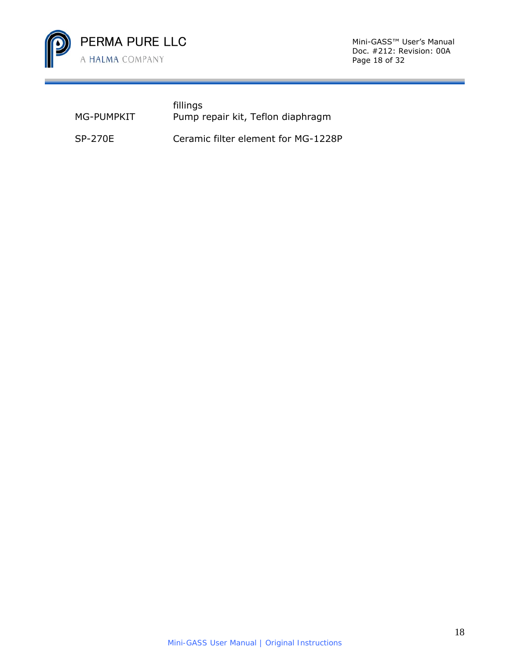

Doc. #212: Revision: 00A Page 18 of 32

| MG-PUMPKIT | fillings<br>Pump repair kit, Teflon diaphragm |
|------------|-----------------------------------------------|
| SP-270E    | Ceramic filter element for MG-1228P           |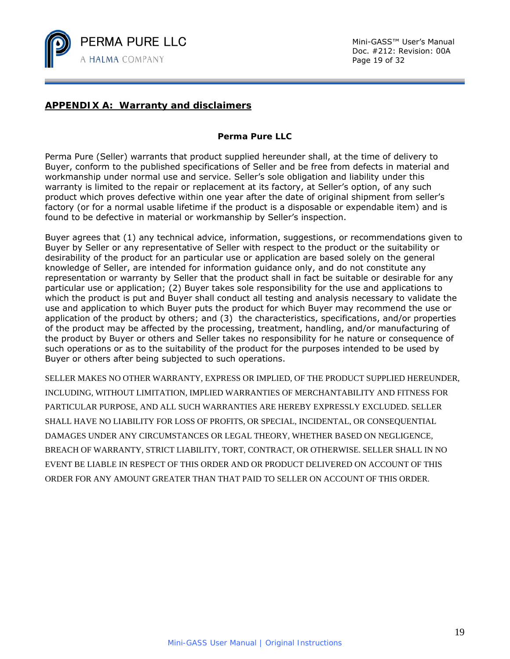

## **APPENDIX A: Warranty and disclaimers**

#### **Perma Pure LLC**

Perma Pure (Seller) warrants that product supplied hereunder shall, at the time of delivery to Buyer, conform to the published specifications of Seller and be free from defects in material and workmanship under normal use and service. Seller's sole obligation and liability under this warranty is limited to the repair or replacement at its factory, at Seller's option, of any such product which proves defective within one year after the date of original shipment from seller's factory (or for a normal usable lifetime if the product is a disposable or expendable item) and is found to be defective in material or workmanship by Seller's inspection.

Buyer agrees that (1) any technical advice, information, suggestions, or recommendations given to Buyer by Seller or any representative of Seller with respect to the product or the suitability or desirability of the product for an particular use or application are based solely on the general knowledge of Seller, are intended for information guidance only, and do not constitute any representation or warranty by Seller that the product shall in fact be suitable or desirable for any particular use or application; (2) Buyer takes sole responsibility for the use and applications to which the product is put and Buyer shall conduct all testing and analysis necessary to validate the use and application to which Buyer puts the product for which Buyer may recommend the use or application of the product by others; and (3) the characteristics, specifications, and/or properties of the product may be affected by the processing, treatment, handling, and/or manufacturing of the product by Buyer or others and Seller takes no responsibility for he nature or consequence of such operations or as to the suitability of the product for the purposes intended to be used by Buyer or others after being subjected to such operations.

SELLER MAKES NO OTHER WARRANTY, EXPRESS OR IMPLIED, OF THE PRODUCT SUPPLIED HEREUNDER, INCLUDING, WITHOUT LIMITATION, IMPLIED WARRANTIES OF MERCHANTABILITY AND FITNESS FOR PARTICULAR PURPOSE, AND ALL SUCH WARRANTIES ARE HEREBY EXPRESSLY EXCLUDED. SELLER SHALL HAVE NO LIABILITY FOR LOSS OF PROFITS, OR SPECIAL, INCIDENTAL, OR CONSEQUENTIAL DAMAGES UNDER ANY CIRCUMSTANCES OR LEGAL THEORY, WHETHER BASED ON NEGLIGENCE, BREACH OF WARRANTY, STRICT LIABILITY, TORT, CONTRACT, OR OTHERWISE. SELLER SHALL IN NO EVENT BE LIABLE IN RESPECT OF THIS ORDER AND OR PRODUCT DELIVERED ON ACCOUNT OF THIS ORDER FOR ANY AMOUNT GREATER THAN THAT PAID TO SELLER ON ACCOUNT OF THIS ORDER.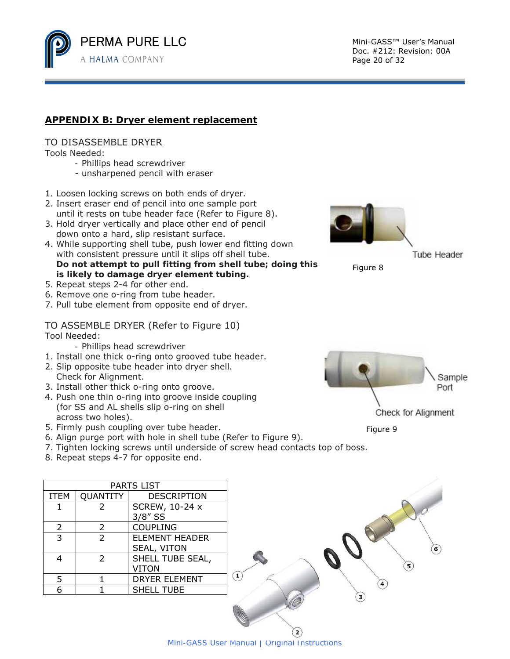

Doc. #212: Revision: 00A Page 20 of 32

## **APPENDIX B: Dryer element replacement**

#### TO DISASSEMBLE DRYER

Tools Needed:

- Phillips head screwdriver
- unsharpened pencil with eraser
- 1*.* Loosen locking screws on both ends of dryer.
- 2. Insert eraser end of pencil into one sample port until it rests on tube header face (Refer to Figure 8).
- 3. Hold dryer vertically and place other end of pencil down onto a hard, slip resistant surface.
- 4. While supporting shell tube, push lower end fitting down with consistent pressure until it slips off shell tube. *Do not attempt to pull fitting from shell tube; doing this is likely to damage dryer element tubing.*
- 5*.* Repeat steps 2-4 for other end.
- 6. Remove one o-ring from tube header.
- 7. Pull tube element from opposite end of dryer.

#### TO ASSEMBLE DRYER (Refer to Figure 10) Tool Needed:

- Phillips head screwdriver
- 1. Install one thick o-ring onto grooved tube header.
- 2. Slip opposite tube header into dryer shell. Check for Alignment.
- 3. Install other thick o-ring onto groove.
- 4. Push one thin o-ring into groove inside coupling (for SS and AL shells slip o-ring on shell across two holes).
- 5. Firmly push coupling over tube header.
- 6. Align purge port with hole in shell tube (Refer to Figure 9).
- 7. Tighten locking screws until underside of screw head contacts top of boss.
- 8. Repeat steps 4-7 for opposite end.

| PARTS LIST     |                |                                      |  |  |
|----------------|----------------|--------------------------------------|--|--|
| <b>ITEM</b>    | QUANTITY       | <b>DESCRIPTION</b>                   |  |  |
|                | 2              | <b>SCREW, 10-24 x</b><br>$3/8''$ SS  |  |  |
| $\overline{2}$ | $\overline{2}$ | <b>COUPLING</b>                      |  |  |
| 3              | $\mathcal{L}$  | <b>ELEMENT HEADER</b><br>SEAL, VITON |  |  |
|                | $\mathcal{P}$  | SHELL TUBE SEAL,<br><b>VITON</b>     |  |  |
| 5              |                | <b>DRYER ELEMENT</b>                 |  |  |
|                |                | <b>SHELL TUBE</b>                    |  |  |



**Tube Header** 





Figure 9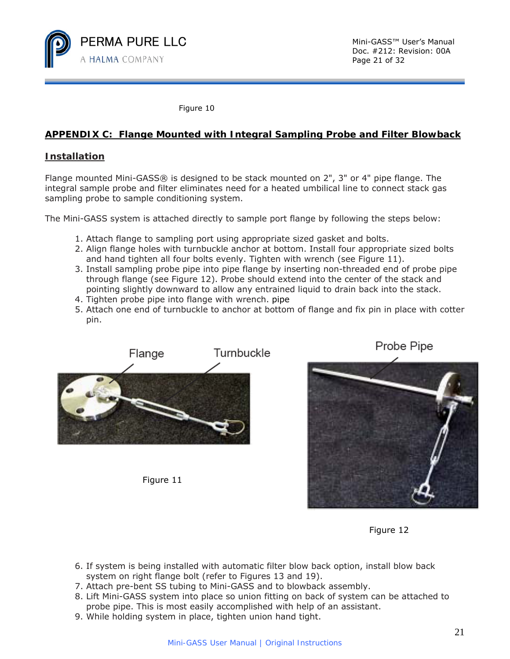

Figure 10

## **APPENDIX C: Flange Mounted with Integral Sampling Probe and Filter Blowback**

#### **Installation**

Flange mounted Mini-GASS® is designed to be stack mounted on 2", 3" or 4" pipe flange. The integral sample probe and filter eliminates need for a heated umbilical line to connect stack gas sampling probe to sample conditioning system.

The Mini-GASS system is attached directly to sample port flange by following the steps below:

- 1. Attach flange to sampling port using appropriate sized gasket and bolts.
- 2. Align flange holes with turnbuckle anchor at bottom. Install four appropriate sized bolts and hand tighten all four bolts evenly. Tighten with wrench (see Figure 11).
- 3. Install sampling probe pipe into pipe flange by inserting non-threaded end of probe pipe through flange (see Figure 12). Probe should extend into the center of the stack and pointing slightly downward to allow any entrained liquid to drain back into the stack.
- 4. Tighten probe pipe into flange with wrench. pipe
- 5. Attach one end of turnbuckle to anchor at bottom of flange and fix pin in place with cotter pin.



Figure 11

Probe Pipe



Figure 12

- 6. If system is being installed with automatic filter blow back option, install blow back system on right flange bolt (refer to Figures 13 and 19).
- 7. Attach pre-bent SS tubing to Mini-GASS and to blowback assembly.
- 8. Lift Mini-GASS system into place so union fitting on back of system can be attached to probe pipe. This is most easily accomplished with help of an assistant.
- 9. While holding system in place, tighten union hand tight.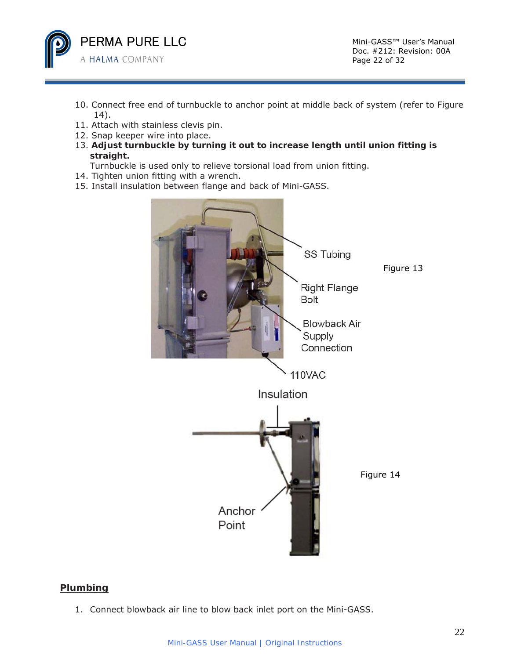

Doc. #212: Revision: 00A Page 22 of 32

- 10. Connect free end of turnbuckle to anchor point at middle back of system (refer to Figure 14).
- 11. Attach with stainless clevis pin.
- 12. Snap keeper wire into place.
- 13. *Adjust turnbuckle by turning it out to increase length until union fitting is straight.*
- Turnbuckle is used only to relieve torsional load from union fitting.
- 14. Tighten union fitting with a wrench.
- 15. Install insulation between flange and back of Mini-GASS.



## **Plumbing**

1. Connect blowback air line to blow back inlet port on the Mini-GASS.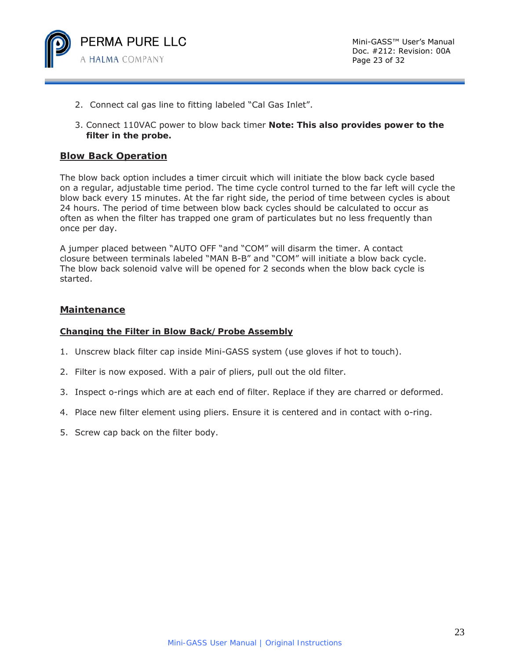

- 2. Connect cal gas line to fitting labeled "Cal Gas Inlet".
- 3. Connect 110VAC power to blow back timer *Note: This also provides power to the filter in the probe.*

#### **Blow Back Operation**

The blow back option includes a timer circuit which will initiate the blow back cycle based on a regular, adjustable time period. The time cycle control turned to the far left will cycle the blow back every 15 minutes. At the far right side, the period of time between cycles is about 24 hours. The period of time between blow back cycles should be calculated to occur as often as when the filter has trapped one gram of particulates but no less frequently than once per day.

A jumper placed between "AUTO OFF "and "COM" will disarm the timer. A contact closure between terminals labeled "MAN B-B" and "COM" will initiate a blow back cycle. The blow back solenoid valve will be opened for 2 seconds when the blow back cycle is started.

#### **Maintenance**

#### **Changing the Filter in Blow Back/Probe Assembly**

- 1. Unscrew black filter cap inside Mini-GASS system (use gloves if hot to touch).
- 2. Filter is now exposed. With a pair of pliers, pull out the old filter.
- 3. Inspect o-rings which are at each end of filter. Replace if they are charred or deformed.
- 4. Place new filter element using pliers. Ensure it is centered and in contact with o-ring.
- 5. Screw cap back on the filter body.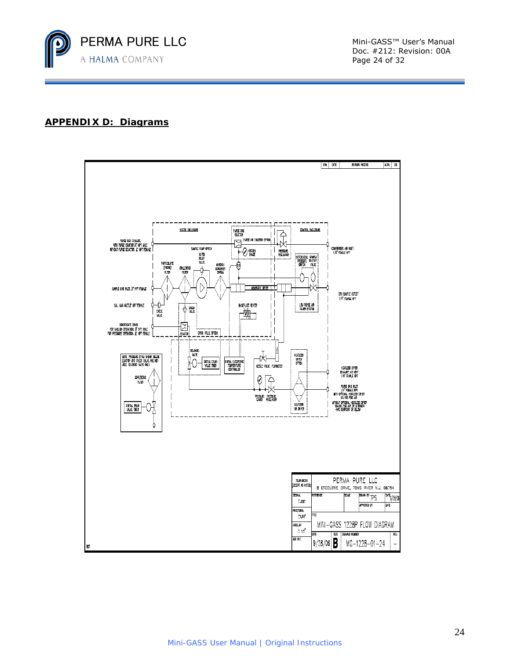

## **APPENDIX D: Diagrams**

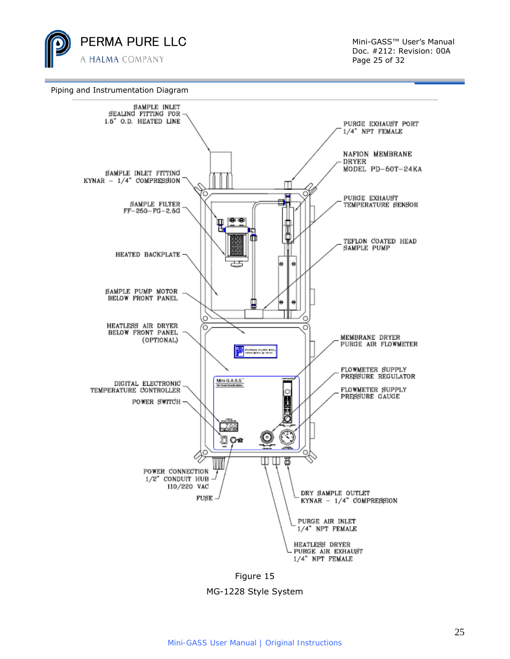

Doc. #212: Revision: 00A Page 25 of 32



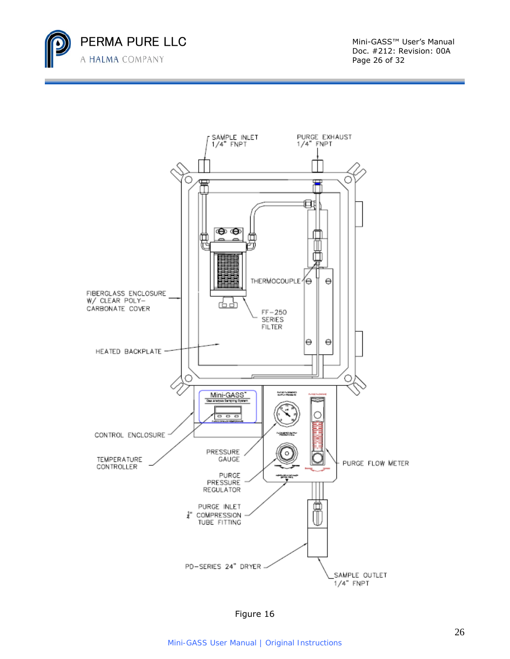

Doc. #212: Revision: 00A Page 26 of 32



Figure 16

*Mini-GASS User Manual | Original Instructions*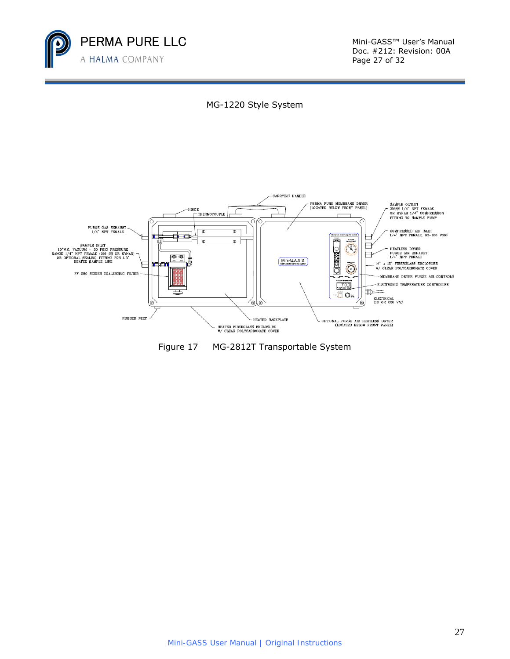

Doc. #212: Revision: 00A Page 27 of 32





Figure 17 MG-2812T Transportable System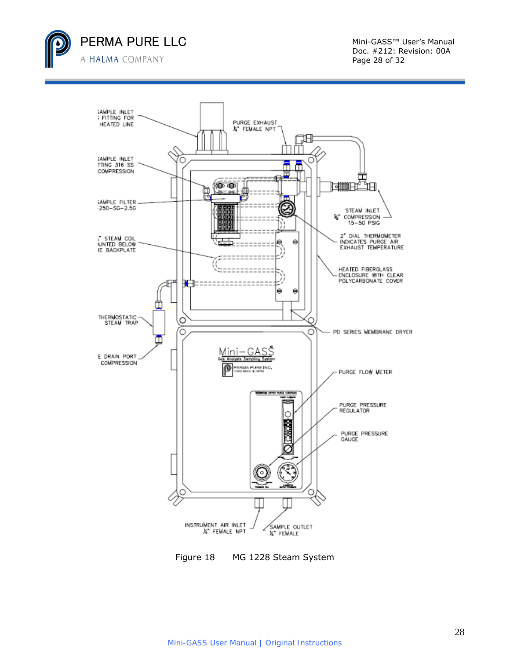



Figure 18 MG 1228 Steam System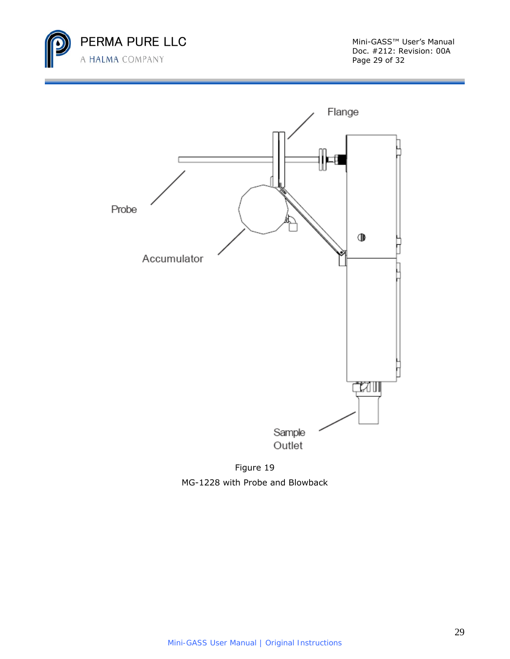

Doc. #212: Revision: 00A Page 29 of 32



Figure 19 MG-1228 with Probe and Blowback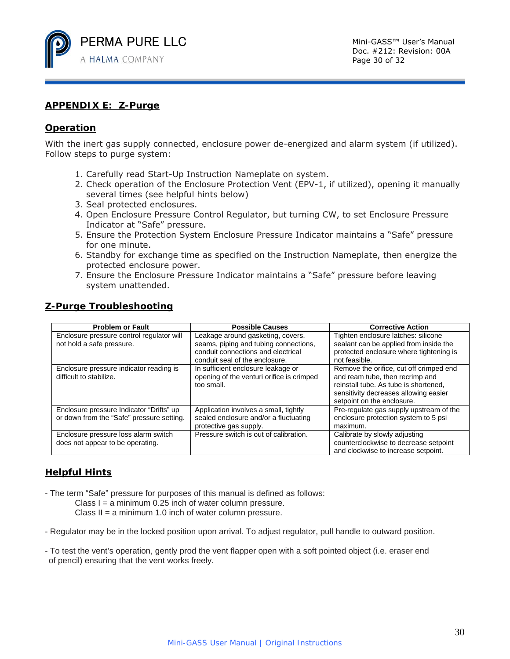

## **APPENDIX E: Z-Purge**

## **Operation**

With the inert gas supply connected, enclosure power de-energized and alarm system (if utilized). Follow steps to purge system:

- 1. Carefully read Start-Up Instruction Nameplate on system.
- 2. Check operation of the Enclosure Protection Vent (EPV-1, if utilized), opening it manually several times (see helpful hints below)
- 3. Seal protected enclosures.
- 4. Open Enclosure Pressure Control Regulator, but turning CW, to set Enclosure Pressure Indicator at "Safe" pressure.
- 5. Ensure the Protection System Enclosure Pressure Indicator maintains a "Safe" pressure for one minute.
- 6. Standby for exchange time as specified on the Instruction Nameplate, then energize the protected enclosure power.
- 7. Ensure the Enclosure Pressure Indicator maintains a "Safe" pressure before leaving system unattended.

| <b>Problem or Fault</b>                                                               | <b>Possible Causes</b>                                                                                                                             | <b>Corrective Action</b>                                                                                                                                                                   |
|---------------------------------------------------------------------------------------|----------------------------------------------------------------------------------------------------------------------------------------------------|--------------------------------------------------------------------------------------------------------------------------------------------------------------------------------------------|
| Enclosure pressure control regulator will<br>not hold a safe pressure.                | Leakage around gasketing, covers,<br>seams, piping and tubing connections,<br>conduit connections and electrical<br>conduit seal of the enclosure. | Tighten enclosure latches: silicone<br>sealant can be applied from inside the<br>protected enclosure where tightening is<br>not feasible.                                                  |
| Enclosure pressure indicator reading is<br>difficult to stabilize.                    | In sufficient enclosure leakage or<br>opening of the venturi orifice is crimped<br>too small.                                                      | Remove the orifice, cut off crimped end<br>and ream tube, then recrimp and<br>reinstall tube. As tube is shortened,<br>sensitivity decreases allowing easier<br>setpoint on the enclosure. |
| Enclosure pressure Indicator "Drifts" up<br>or down from the "Safe" pressure setting. | Application involves a small, tightly<br>sealed enclosure and/or a fluctuating<br>protective gas supply.                                           | Pre-regulate gas supply upstream of the<br>enclosure protection system to 5 psi<br>maximum.                                                                                                |
| Enclosure pressure loss alarm switch<br>does not appear to be operating.              | Pressure switch is out of calibration.                                                                                                             | Calibrate by slowly adjusting<br>counterclockwise to decrease setpoint<br>and clockwise to increase setpoint.                                                                              |

## **Z-Purge Troubleshooting**

## **Helpful Hints**

- The term "Safe" pressure for purposes of this manual is defined as follows:
	- Class  $I = a$  minimum 0.25 inch of water column pressure.
	- Class  $II = a$  minimum 1.0 inch of water column pressure.
- Regulator may be in the locked position upon arrival. To adjust regulator, pull handle to outward position.
- To test the vent's operation, gently prod the vent flapper open with a soft pointed object (i.e. eraser end of pencil) ensuring that the vent works freely.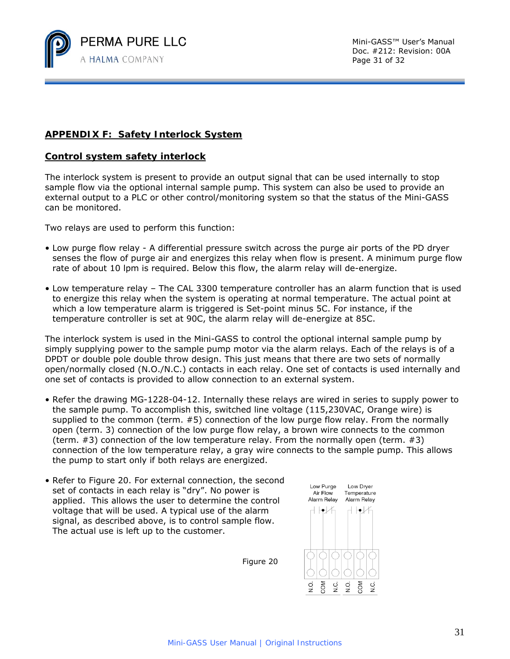

## **APPENDIX F: Safety Interlock System**

#### **Control system safety interlock**

The interlock system is present to provide an output signal that can be used internally to stop sample flow via the optional internal sample pump. This system can also be used to provide an external output to a PLC or other control/monitoring system so that the status of the Mini-GASS can be monitored.

Two relays are used to perform this function:

- Low purge flow relay A differential pressure switch across the purge air ports of the PD dryer senses the flow of purge air and energizes this relay when flow is present. A minimum purge flow rate of about 10 lpm is required. Below this flow, the alarm relay will de-energize.
- Low temperature relay The CAL 3300 temperature controller has an alarm function that is used to energize this relay when the system is operating at normal temperature. The actual point at which a low temperature alarm is triggered is Set-point minus 5C. For instance, if the temperature controller is set at 90C, the alarm relay will de-energize at 85C.

The interlock system is used in the Mini-GASS to control the optional internal sample pump by simply supplying power to the sample pump motor via the alarm relays. Each of the relays is of a DPDT or double pole double throw design. This just means that there are two sets of normally open/normally closed (N.O./N.C.) contacts in each relay. One set of contacts is used internally and one set of contacts is provided to allow connection to an external system.

- Refer the drawing MG-1228-04-12. Internally these relays are wired in series to supply power to the sample pump. To accomplish this, switched line voltage (115,230VAC, Orange wire) is supplied to the common (term. #5) connection of the low purge flow relay. From the normally open (term. 3) connection of the low purge flow relay, a brown wire connects to the common (term.  $\#3$ ) connection of the low temperature relay. From the normally open (term.  $\#3$ ) connection of the low temperature relay, a gray wire connects to the sample pump. This allows the pump to start only if both relays are energized.
- Refer to Figure 20. For external connection, the second set of contacts in each relay is "dry". No power is applied. This allows the user to determine the control voltage that will be used. A typical use of the alarm signal, as described above, is to control sample flow. The actual use is left up to the customer.



Figure 20